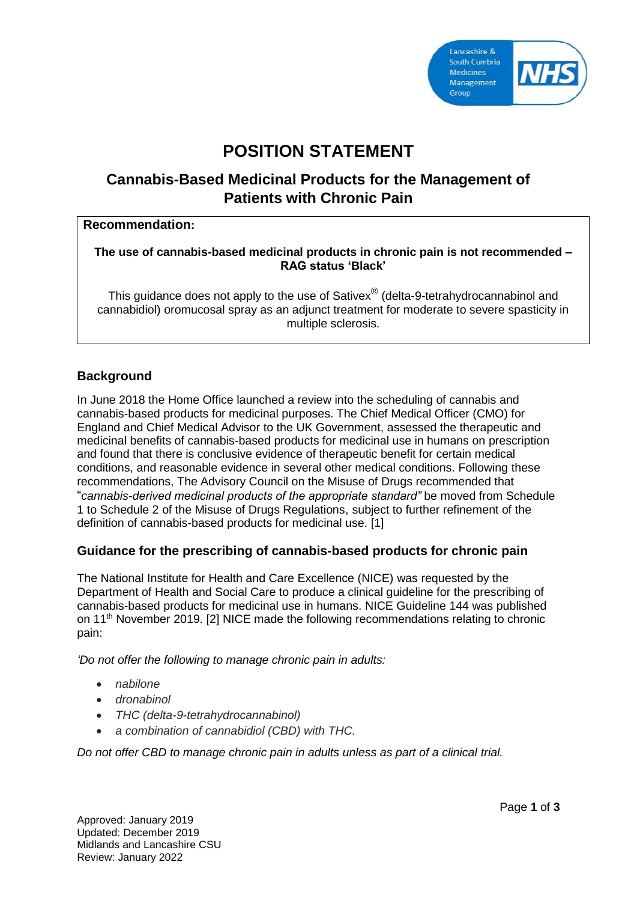

# **POSITION STATEMENT**

# **Cannabis-Based Medicinal Products for the Management of Patients with Chronic Pain**

#### **Recommendation:**

#### **The use of cannabis-based medicinal products in chronic pain is not recommended – RAG status 'Black'**

This guidance does not apply to the use of Sativex $^{\circledR}$  (delta-9-tetrahydrocannabinol and cannabidiol) oromucosal spray as an adjunct treatment for moderate to severe spasticity in multiple sclerosis.

# **Background**

In June 2018 the Home Office launched a review into the scheduling of cannabis and cannabis-based products for medicinal purposes. The Chief Medical Officer (CMO) for England and Chief Medical Advisor to the UK Government, assessed the therapeutic and medicinal benefits of cannabis-based products for medicinal use in humans on prescription and found that there is conclusive evidence of therapeutic benefit for certain medical conditions, and reasonable evidence in several other medical conditions. Following these recommendations, The Advisory Council on the Misuse of Drugs recommended that "*cannabis-derived medicinal products of the appropriate standard"* be moved from Schedule 1 to Schedule 2 of the Misuse of Drugs Regulations, subject to further refinement of the definition of cannabis-based products for medicinal use. [1]

### **Guidance for the prescribing of cannabis-based products for chronic pain**

The National Institute for Health and Care Excellence (NICE) was requested by the Department of Health and Social Care to produce a clinical guideline for the prescribing of cannabis-based products for medicinal use in humans. NICE Guideline 144 was published on 11th November 2019. [2] NICE made the following recommendations relating to chronic pain:

*'Do not offer the following to manage chronic pain in adults:*

- *nabilone*
- *dronabinol*
- *THC (delta-9-tetrahydrocannabinol)*
- *a combination of cannabidiol (CBD) with THC.*

*Do not offer CBD to manage chronic pain in adults unless as part of a clinical trial.*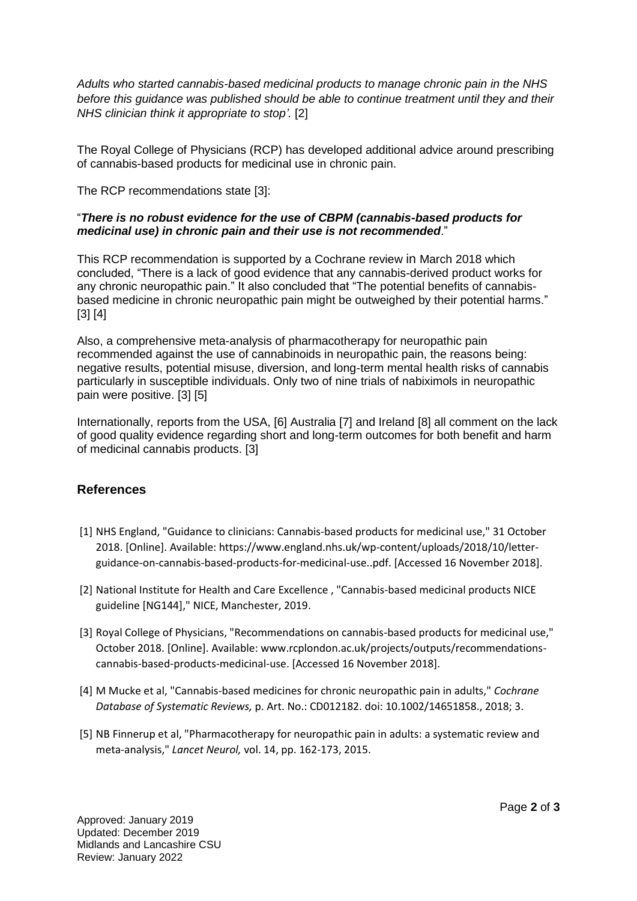*Adults who started cannabis-based medicinal products to manage chronic pain in the NHS before this guidance was published should be able to continue treatment until they and their NHS clinician think it appropriate to stop'.* [2]

The Royal College of Physicians (RCP) has developed additional advice around prescribing of cannabis-based products for medicinal use in chronic pain.

The RCP recommendations state [3]:

#### "*There is no robust evidence for the use of CBPM (cannabis-based products for medicinal use) in chronic pain and their use is not recommended*."

This RCP recommendation is supported by a Cochrane review in March 2018 which concluded, "There is a lack of good evidence that any cannabis-derived product works for any chronic neuropathic pain." It also concluded that "The potential benefits of cannabisbased medicine in chronic neuropathic pain might be outweighed by their potential harms." [3] [4]

Also, a comprehensive meta-analysis of pharmacotherapy for neuropathic pain recommended against the use of cannabinoids in neuropathic pain, the reasons being: negative results, potential misuse, diversion, and long-term mental health risks of cannabis particularly in susceptible individuals. Only two of nine trials of nabiximols in neuropathic pain were positive. [3] [5]

Internationally, reports from the USA, [6] Australia [7] and Ireland [8] all comment on the lack of good quality evidence regarding short and long-term outcomes for both benefit and harm of medicinal cannabis products. [3]

### **References**

- [1] NHS England, "Guidance to clinicians: Cannabis-based products for medicinal use," 31 October 2018. [Online]. Available: https://www.england.nhs.uk/wp-content/uploads/2018/10/letterguidance-on-cannabis-based-products-for-medicinal-use..pdf. [Accessed 16 November 2018].
- [2] National Institute for Health and Care Excellence , "Cannabis-based medicinal products NICE guideline [NG144]," NICE, Manchester, 2019.
- [3] Royal College of Physicians, "Recommendations on cannabis-based products for medicinal use," October 2018. [Online]. Available: www.rcplondon.ac.uk/projects/outputs/recommendationscannabis-based-products-medicinal-use. [Accessed 16 November 2018].
- [4] M Mucke et al, "Cannabis-based medicines for chronic neuropathic pain in adults," *Cochrane Database of Systematic Reviews,* p. Art. No.: CD012182. doi: 10.1002/14651858., 2018; 3.
- [5] NB Finnerup et al, "Pharmacotherapy for neuropathic pain in adults: a systematic review and meta-analysis," *Lancet Neurol,* vol. 14, pp. 162-173, 2015.